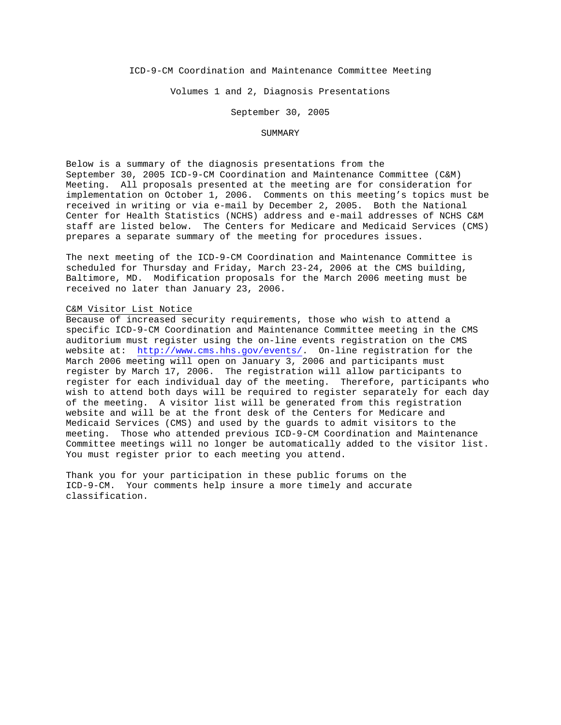ICD-9-CM Coordination and Maintenance Committee Meeting

Volumes 1 and 2, Diagnosis Presentations

September 30, 2005

### SUMMARY

Below is a summary of the diagnosis presentations from the September 30, 2005 ICD-9-CM Coordination and Maintenance Committee (C&M) Meeting. All proposals presented at the meeting are for consideration for implementation on October 1, 2006. Comments on this meeting's topics must be received in writing or via e-mail by December 2, 2005. Both the National Center for Health Statistics (NCHS) address and e-mail addresses of NCHS C&M staff are listed below. The Centers for Medicare and Medicaid Services (CMS) prepares a separate summary of the meeting for procedures issues.

The next meeting of the ICD-9-CM Coordination and Maintenance Committee is scheduled for Thursday and Friday, March 23-24, 2006 at the CMS building, Baltimore, MD. Modification proposals for the March 2006 meeting must be received no later than January 23, 2006.

#### C&M Visitor List Notice

Because of increased security requirements, those who wish to attend a specific ICD-9-CM Coordination and Maintenance Committee meeting in the CMS auditorium must register using the on-line events registration on the CMS website at: <http://www.cms.hhs.gov/events/>. On-line registration for the March 2006 meeting will open on January 3, 2006 and participants must register by March 17, 2006. The registration will allow participants to register for each individual day of the meeting. Therefore, participants who wish to attend both days will be required to register separately for each day of the meeting. A visitor list will be generated from this registration website and will be at the front desk of the Centers for Medicare and Medicaid Services (CMS) and used by the guards to admit visitors to the meeting. Those who attended previous ICD-9-CM Coordination and Maintenance Committee meetings will no longer be automatically added to the visitor list. You must register prior to each meeting you attend.

Thank you for your participation in these public forums on the ICD-9-CM. Your comments help insure a more timely and accurate classification.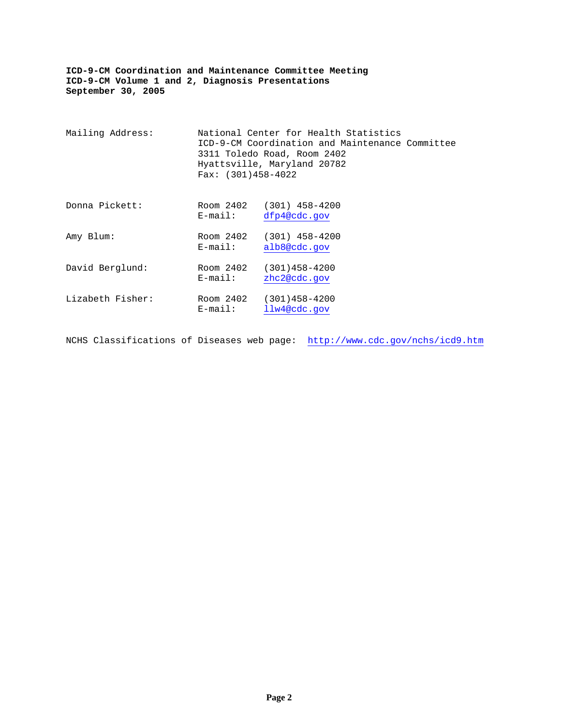| Mailing Address: | Fax: $(301)458-4022$    | National Center for Health Statistics<br>ICD-9-CM Coordination and Maintenance Committee<br>3311 Toledo Road, Room 2402<br>Hyattsville, Maryland 20782 |  |
|------------------|-------------------------|--------------------------------------------------------------------------------------------------------------------------------------------------------|--|
| Donna Pickett:   | Room 2402<br>$E$ -mail: | $(301)$ 458-4200<br>dfp4@cdc.gov                                                                                                                       |  |
| Amy Blum:        | Room 2402<br>$E$ -mail: | $(301)$ 458-4200<br>alb8@cdc.gov                                                                                                                       |  |
| David Berglund:  | Room 2402<br>$E$ -mail: | $(301)458 - 4200$<br>zhc2@cdc.gov                                                                                                                      |  |
| Lizabeth Fisher: | Room 2402<br>$E$ -mail: | $(301)458 - 4200$<br>llw4@cdc.gov                                                                                                                      |  |

NCHS Classifications of Diseases web page: <http://www.cdc.gov/nchs/icd9.htm>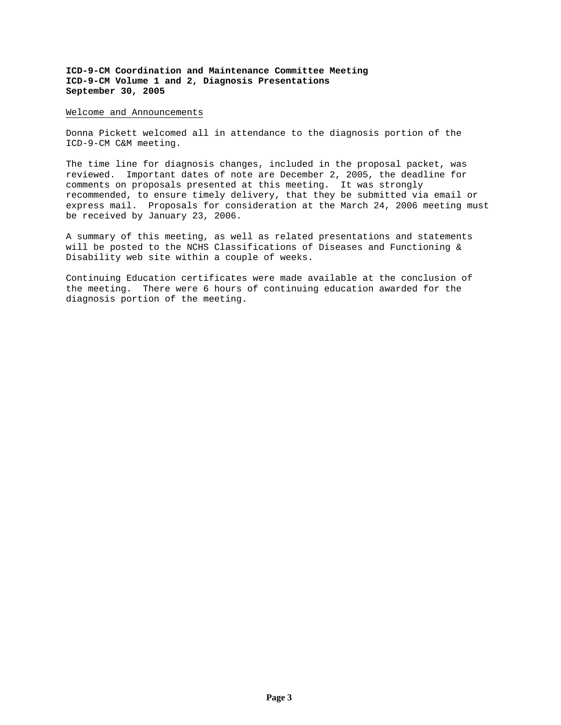#### Welcome and Announcements

Donna Pickett welcomed all in attendance to the diagnosis portion of the ICD-9-CM C&M meeting.

The time line for diagnosis changes, included in the proposal packet, was reviewed. Important dates of note are December 2, 2005, the deadline for comments on proposals presented at this meeting. It was strongly recommended, to ensure timely delivery, that they be submitted via email or express mail. Proposals for consideration at the March 24, 2006 meeting must be received by January 23, 2006.

A summary of this meeting, as well as related presentations and statements will be posted to the NCHS Classifications of Diseases and Functioning & Disability web site within a couple of weeks.

Continuing Education certificates were made available at the conclusion of the meeting. There were 6 hours of continuing education awarded for the diagnosis portion of the meeting.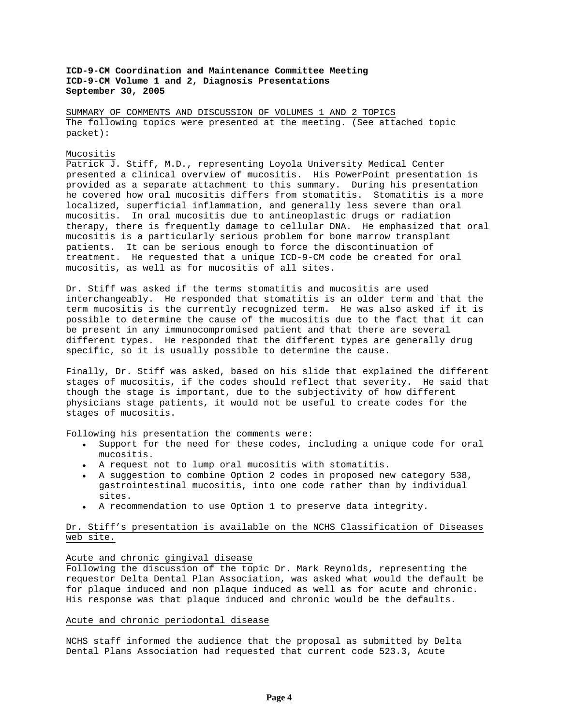SUMMARY OF COMMENTS AND DISCUSSION OF VOLUMES 1 AND 2 TOPICS The following topics were presented at the meeting. (See attached topic packet):

#### Mucositis

Patrick J. Stiff, M.D., representing Loyola University Medical Center presented a clinical overview of mucositis. His PowerPoint presentation is provided as a separate attachment to this summary. During his presentation he covered how oral mucositis differs from stomatitis. Stomatitis is a more localized, superficial inflammation, and generally less severe than oral mucositis. In oral mucositis due to antineoplastic drugs or radiation therapy, there is frequently damage to cellular DNA. He emphasized that oral mucositis is a particularly serious problem for bone marrow transplant patients. It can be serious enough to force the discontinuation of treatment. He requested that a unique ICD-9-CM code be created for oral mucositis, as well as for mucositis of all sites.

Dr. Stiff was asked if the terms stomatitis and mucositis are used interchangeably. He responded that stomatitis is an older term and that the term mucositis is the currently recognized term. He was also asked if it is possible to determine the cause of the mucositis due to the fact that it can be present in any immunocompromised patient and that there are several different types. He responded that the different types are generally drug specific, so it is usually possible to determine the cause.

Finally, Dr. Stiff was asked, based on his slide that explained the different stages of mucositis, if the codes should reflect that severity. He said that though the stage is important, due to the subjectivity of how different physicians stage patients, it would not be useful to create codes for the stages of mucositis.

Following his presentation the comments were:

- Support for the need for these codes, including a unique code for oral mucositis.
- A request not to lump oral mucositis with stomatitis.
- A suggestion to combine Option 2 codes in proposed new category 538, gastrointestinal mucositis, into one code rather than by individual sites.
- A recommendation to use Option 1 to preserve data integrity.

# Dr. Stiff's presentation is available on the NCHS Classification of Diseases web site.

## Acute and chronic gingival disease

Following the discussion of the topic Dr. Mark Reynolds, representing the requestor Delta Dental Plan Association, was asked what would the default be for plaque induced and non plaque induced as well as for acute and chronic. His response was that plaque induced and chronic would be the defaults.

#### Acute and chronic periodontal disease

NCHS staff informed the audience that the proposal as submitted by Delta Dental Plans Association had requested that current code 523.3, Acute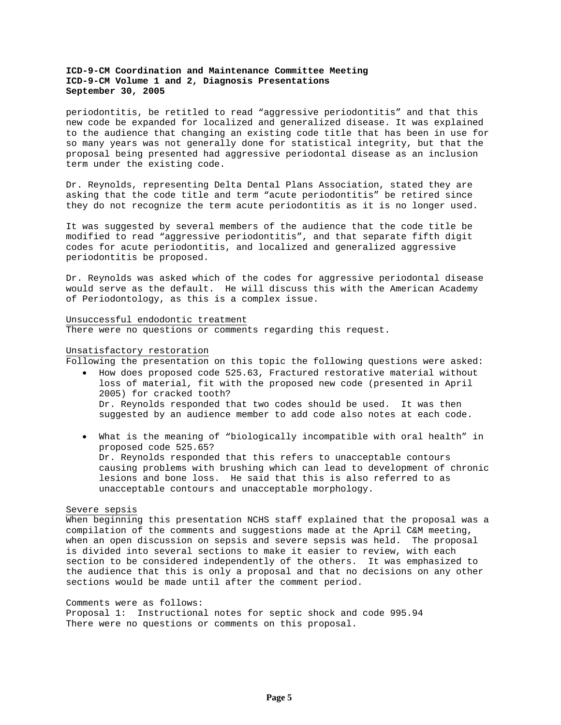periodontitis, be retitled to read "aggressive periodontitis" and that this new code be expanded for localized and generalized disease. It was explained to the audience that changing an existing code title that has been in use for so many years was not generally done for statistical integrity, but that the proposal being presented had aggressive periodontal disease as an inclusion term under the existing code.

Dr. Reynolds, representing Delta Dental Plans Association, stated they are asking that the code title and term "acute periodontitis" be retired since they do not recognize the term acute periodontitis as it is no longer used.

It was suggested by several members of the audience that the code title be modified to read "aggressive periodontitis", and that separate fifth digit codes for acute periodontitis, and localized and generalized aggressive periodontitis be proposed.

Dr. Reynolds was asked which of the codes for aggressive periodontal disease would serve as the default. He will discuss this with the American Academy of Periodontology, as this is a complex issue.

## Unsuccessful endodontic treatment

There were no questions or comments regarding this request.

## Unsatisfactory restoration

Following the presentation on this topic the following questions were asked:

- How does proposed code 525.63, Fractured restorative material without loss of material, fit with the proposed new code (presented in April 2005) for cracked tooth? Dr. Reynolds responded that two codes should be used. It was then suggested by an audience member to add code also notes at each code.
- What is the meaning of "biologically incompatible with oral health" in proposed code 525.65? Dr. Reynolds responded that this refers to unacceptable contours causing problems with brushing which can lead to development of chronic lesions and bone loss. He said that this is also referred to as unacceptable contours and unacceptable morphology.

### Severe sepsis

When beginning this presentation NCHS staff explained that the proposal was a compilation of the comments and suggestions made at the April C&M meeting, when an open discussion on sepsis and severe sepsis was held. The proposal is divided into several sections to make it easier to review, with each section to be considered independently of the others. It was emphasized to the audience that this is only a proposal and that no decisions on any other sections would be made until after the comment period.

## Comments were as follows:

Proposal 1: Instructional notes for septic shock and code 995.94 There were no questions or comments on this proposal.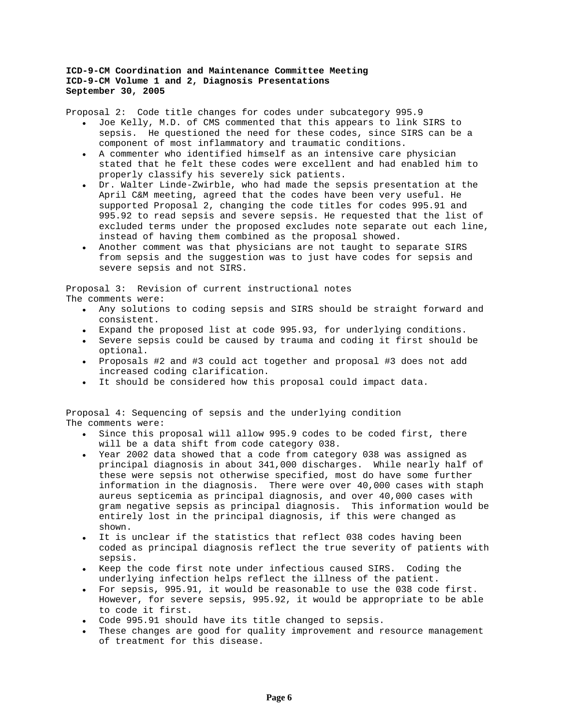Proposal 2: Code title changes for codes under subcategory 995.9

- Joe Kelly, M.D. of CMS commented that this appears to link SIRS to sepsis. He questioned the need for these codes, since SIRS can be a component of most inflammatory and traumatic conditions.
- A commenter who identified himself as an intensive care physician stated that he felt these codes were excellent and had enabled him to properly classify his severely sick patients.
- Dr. Walter Linde-Zwirble, who had made the sepsis presentation at the April C&M meeting, agreed that the codes have been very useful. He supported Proposal 2, changing the code titles for codes 995.91 and 995.92 to read sepsis and severe sepsis. He requested that the list of excluded terms under the proposed excludes note separate out each line, instead of having them combined as the proposal showed.
- Another comment was that physicians are not taught to separate SIRS from sepsis and the suggestion was to just have codes for sepsis and severe sepsis and not SIRS.

Proposal 3: Revision of current instructional notes The comments were:

- Any solutions to coding sepsis and SIRS should be straight forward and consistent.
- Expand the proposed list at code 995.93, for underlying conditions.
- Severe sepsis could be caused by trauma and coding it first should be optional.
- Proposals #2 and #3 could act together and proposal #3 does not add increased coding clarification.
- It should be considered how this proposal could impact data.

Proposal 4: Sequencing of sepsis and the underlying condition The comments were:

- Since this proposal will allow 995.9 codes to be coded first, there will be a data shift from code category 038.
- Year 2002 data showed that a code from category 038 was assigned as principal diagnosis in about 341,000 discharges. While nearly half of these were sepsis not otherwise specified, most do have some further information in the diagnosis. There were over 40,000 cases with staph aureus septicemia as principal diagnosis, and over 40,000 cases with gram negative sepsis as principal diagnosis. This information would be entirely lost in the principal diagnosis, if this were changed as shown.
- It is unclear if the statistics that reflect 038 codes having been coded as principal diagnosis reflect the true severity of patients with sepsis.
- Keep the code first note under infectious caused SIRS. Coding the underlying infection helps reflect the illness of the patient.
- For sepsis, 995.91, it would be reasonable to use the 038 code first. However, for severe sepsis, 995.92, it would be appropriate to be able to code it first.
- Code 995.91 should have its title changed to sepsis.
- These changes are good for quality improvement and resource management of treatment for this disease.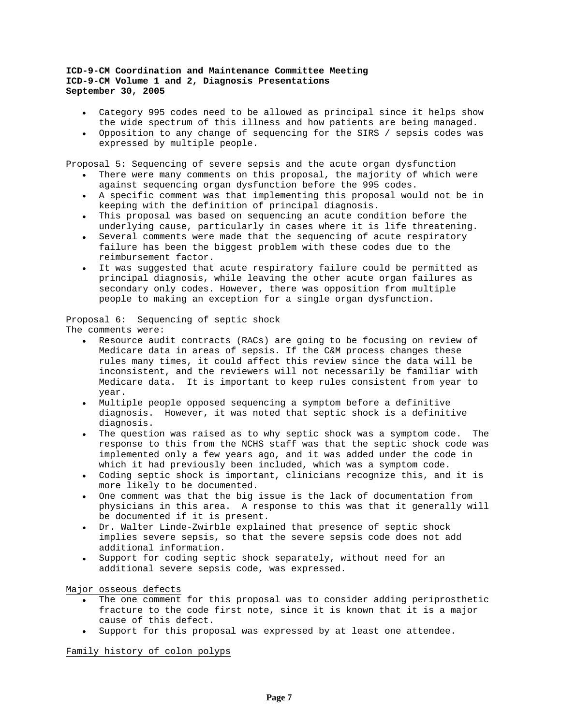- Category 995 codes need to be allowed as principal since it helps show the wide spectrum of this illness and how patients are being managed.
- Opposition to any change of sequencing for the SIRS / sepsis codes was expressed by multiple people.

Proposal 5: Sequencing of severe sepsis and the acute organ dysfunction

- There were many comments on this proposal, the majority of which were against sequencing organ dysfunction before the 995 codes.
- A specific comment was that implementing this proposal would not be in keeping with the definition of principal diagnosis.
- This proposal was based on sequencing an acute condition before the underlying cause, particularly in cases where it is life threatening.
- Several comments were made that the sequencing of acute respiratory failure has been the biggest problem with these codes due to the reimbursement factor.
- It was suggested that acute respiratory failure could be permitted as principal diagnosis, while leaving the other acute organ failures as secondary only codes. However, there was opposition from multiple people to making an exception for a single organ dysfunction.

Proposal 6: Sequencing of septic shock The comments were:

- Resource audit contracts (RACs) are going to be focusing on review of Medicare data in areas of sepsis. If the C&M process changes these rules many times, it could affect this review since the data will be inconsistent, and the reviewers will not necessarily be familiar with Medicare data. It is important to keep rules consistent from year to year.
- Multiple people opposed sequencing a symptom before a definitive diagnosis. However, it was noted that septic shock is a definitive diagnosis.
- The question was raised as to why septic shock was a symptom code. The response to this from the NCHS staff was that the septic shock code was implemented only a few years ago, and it was added under the code in which it had previously been included, which was a symptom code.
- Coding septic shock is important, clinicians recognize this, and it is more likely to be documented.
- One comment was that the big issue is the lack of documentation from physicians in this area. A response to this was that it generally will be documented if it is present.
- Dr. Walter Linde-Zwirble explained that presence of septic shock implies severe sepsis, so that the severe sepsis code does not add additional information.
- Support for coding septic shock separately, without need for an additional severe sepsis code, was expressed.

Major osseous defects

- The one comment for this proposal was to consider adding periprosthetic fracture to the code first note, since it is known that it is a major cause of this defect.
- Support for this proposal was expressed by at least one attendee.

Family history of colon polyps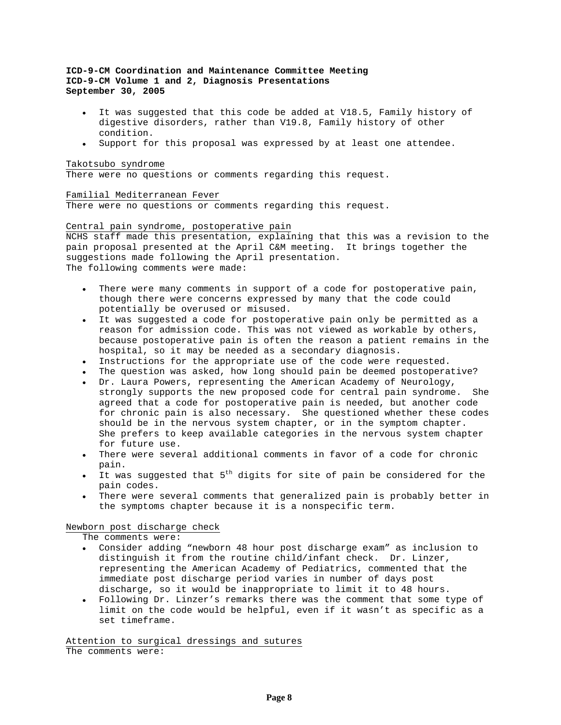- It was suggested that this code be added at V18.5, Family history of digestive disorders, rather than V19.8, Family history of other condition.
- Support for this proposal was expressed by at least one attendee.

## Takotsubo syndrome

There were no questions or comments regarding this request.

# Familial Mediterranean Fever

There were no questions or comments regarding this request.

## Central pain syndrome, postoperative pain

NCHS staff made this presentation, explaining that this was a revision to the pain proposal presented at the April C&M meeting. It brings together the suggestions made following the April presentation. The following comments were made:

- There were many comments in support of a code for postoperative pain, though there were concerns expressed by many that the code could potentially be overused or misused.
- It was suggested a code for postoperative pain only be permitted as a reason for admission code. This was not viewed as workable by others, because postoperative pain is often the reason a patient remains in the hospital, so it may be needed as a secondary diagnosis.
- Instructions for the appropriate use of the code were requested.
- The question was asked, how long should pain be deemed postoperative?
- Dr. Laura Powers, representing the American Academy of Neurology, strongly supports the new proposed code for central pain syndrome. She agreed that a code for postoperative pain is needed, but another code for chronic pain is also necessary. She questioned whether these codes should be in the nervous system chapter, or in the symptom chapter. She prefers to keep available categories in the nervous system chapter for future use.
- There were several additional comments in favor of a code for chronic pain.
- It was suggested that 5<sup>th</sup> digits for site of pain be considered for the pain codes.
- There were several comments that generalized pain is probably better in the symptoms chapter because it is a nonspecific term.

## Newborn post discharge check

The comments were:

- Consider adding "newborn 48 hour post discharge exam" as inclusion to distinguish it from the routine child/infant check. Dr. Linzer, representing the American Academy of Pediatrics, commented that the immediate post discharge period varies in number of days post discharge, so it would be inappropriate to limit it to 48 hours.
- Following Dr. Linzer's remarks there was the comment that some type of limit on the code would be helpful, even if it wasn't as specific as a set timeframe.

Attention to surgical dressings and sutures The comments were: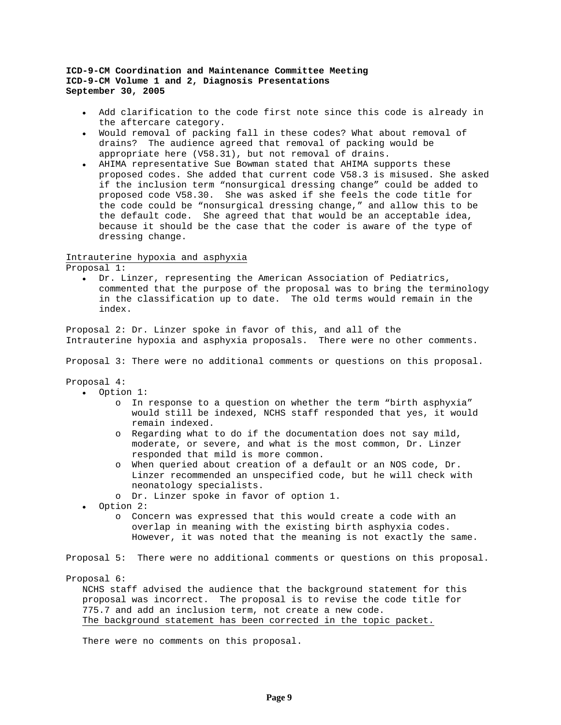- Add clarification to the code first note since this code is already in the aftercare category.
- Would removal of packing fall in these codes? What about removal of drains? The audience agreed that removal of packing would be appropriate here (V58.31), but not removal of drains.
- AHIMA representative Sue Bowman stated that AHIMA supports these proposed codes. She added that current code V58.3 is misused. She asked if the inclusion term "nonsurgical dressing change" could be added to proposed code V58.30. She was asked if she feels the code title for the code could be "nonsurgical dressing change," and allow this to be the default code. She agreed that that would be an acceptable idea, because it should be the case that the coder is aware of the type of dressing change.

## Intrauterine hypoxia and asphyxia

Proposal 1:

• Dr. Linzer, representing the American Association of Pediatrics, commented that the purpose of the proposal was to bring the terminology in the classification up to date. The old terms would remain in the index.

Proposal 2: Dr. Linzer spoke in favor of this, and all of the Intrauterine hypoxia and asphyxia proposals. There were no other comments.

Proposal 3: There were no additional comments or questions on this proposal.

Proposal 4:

- Option 1:
	- o In response to a question on whether the term "birth asphyxia" would still be indexed, NCHS staff responded that yes, it would remain indexed.
	- o Regarding what to do if the documentation does not say mild, moderate, or severe, and what is the most common, Dr. Linzer responded that mild is more common.
	- o When queried about creation of a default or an NOS code, Dr. Linzer recommended an unspecified code, but he will check with neonatology specialists.
	- o Dr. Linzer spoke in favor of option 1.

• Option 2:

o Concern was expressed that this would create a code with an overlap in meaning with the existing birth asphyxia codes. However, it was noted that the meaning is not exactly the same.

Proposal 5: There were no additional comments or questions on this proposal.

Proposal 6:

NCHS staff advised the audience that the background statement for this proposal was incorrect. The proposal is to revise the code title for 775.7 and add an inclusion term, not create a new code. The background statement has been corrected in the topic packet.

There were no comments on this proposal.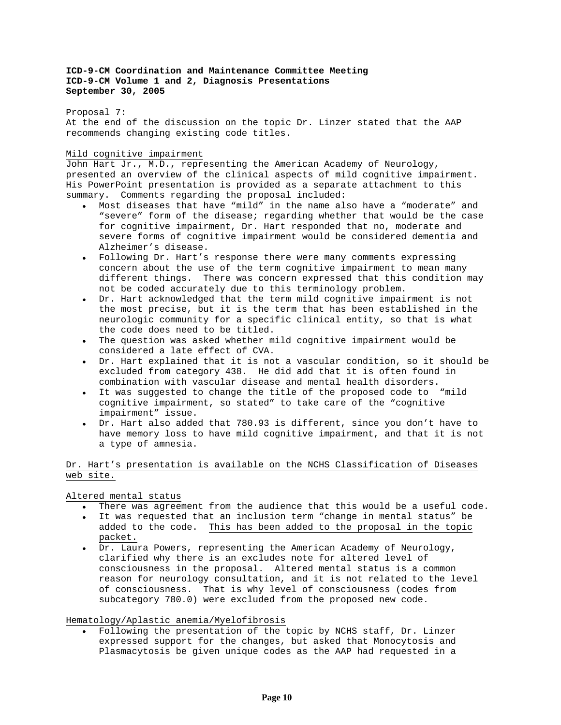## Proposal 7:

At the end of the discussion on the topic Dr. Linzer stated that the AAP recommends changing existing code titles.

## Mild cognitive impairment

John Hart Jr., M.D., representing the American Academy of Neurology, presented an overview of the clinical aspects of mild cognitive impairment. His PowerPoint presentation is provided as a separate attachment to this summary. Comments regarding the proposal included:

- Most diseases that have "mild" in the name also have a "moderate" and "severe" form of the disease; regarding whether that would be the case for cognitive impairment, Dr. Hart responded that no, moderate and severe forms of cognitive impairment would be considered dementia and Alzheimer's disease.
- Following Dr. Hart's response there were many comments expressing concern about the use of the term cognitive impairment to mean many different things. There was concern expressed that this condition may not be coded accurately due to this terminology problem.
- Dr. Hart acknowledged that the term mild cognitive impairment is not the most precise, but it is the term that has been established in the neurologic community for a specific clinical entity, so that is what the code does need to be titled.
- The question was asked whether mild cognitive impairment would be considered a late effect of CVA.
- Dr. Hart explained that it is not a vascular condition, so it should be excluded from category 438. He did add that it is often found in combination with vascular disease and mental health disorders.
- It was suggested to change the title of the proposed code to "mild cognitive impairment, so stated" to take care of the "cognitive impairment" issue.
- Dr. Hart also added that 780.93 is different, since you don't have to have memory loss to have mild cognitive impairment, and that it is not a type of amnesia.

# Dr. Hart's presentation is available on the NCHS Classification of Diseases web site.

Altered mental status

- There was agreement from the audience that this would be a useful code.
- It was requested that an inclusion term "change in mental status" be added to the code. This has been added to the proposal in the topic packet.
- Dr. Laura Powers, representing the American Academy of Neurology, clarified why there is an excludes note for altered level of consciousness in the proposal. Altered mental status is a common reason for neurology consultation, and it is not related to the level of consciousness. That is why level of consciousness (codes from subcategory 780.0) were excluded from the proposed new code.

## Hematology/Aplastic anemia/Myelofibrosis

• Following the presentation of the topic by NCHS staff, Dr. Linzer expressed support for the changes, but asked that Monocytosis and Plasmacytosis be given unique codes as the AAP had requested in a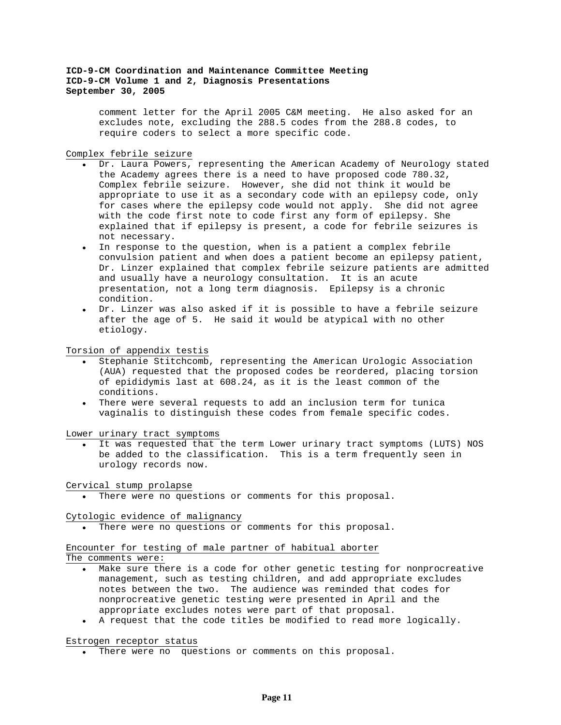comment letter for the April 2005 C&M meeting. He also asked for an excludes note, excluding the 288.5 codes from the 288.8 codes, to require coders to select a more specific code.

## Complex febrile seizure

- Dr. Laura Powers, representing the American Academy of Neurology stated the Academy agrees there is a need to have proposed code 780.32, Complex febrile seizure. However, she did not think it would be appropriate to use it as a secondary code with an epilepsy code, only for cases where the epilepsy code would not apply. She did not agree with the code first note to code first any form of epilepsy. She explained that if epilepsy is present, a code for febrile seizures is not necessary.
- In response to the question, when is a patient a complex febrile convulsion patient and when does a patient become an epilepsy patient, Dr. Linzer explained that complex febrile seizure patients are admitted and usually have a neurology consultation. It is an acute presentation, not a long term diagnosis. Epilepsy is a chronic condition.
- Dr. Linzer was also asked if it is possible to have a febrile seizure after the age of 5. He said it would be atypical with no other etiology.

### Torsion of appendix testis

- Stephanie Stitchcomb, representing the American Urologic Association (AUA) requested that the proposed codes be reordered, placing torsion of epididymis last at 608.24, as it is the least common of the conditions.
- There were several requests to add an inclusion term for tunica vaginalis to distinguish these codes from female specific codes.

Lower urinary tract symptoms

It was requested that the term Lower urinary tract symptoms (LUTS) NOS be added to the classification. This is a term frequently seen in urology records now.

#### Cervical stump prolapse

• There were no questions or comments for this proposal.

### Cytologic evidence of malignancy

There were no questions or comments for this proposal.

# Encounter for testing of male partner of habitual aborter

The comments were:

- Make sure there is a code for other genetic testing for nonprocreative management, such as testing children, and add appropriate excludes notes between the two. The audience was reminded that codes for nonprocreative genetic testing were presented in April and the appropriate excludes notes were part of that proposal.
- A request that the code titles be modified to read more logically.

#### Estrogen receptor status

• There were no questions or comments on this proposal.